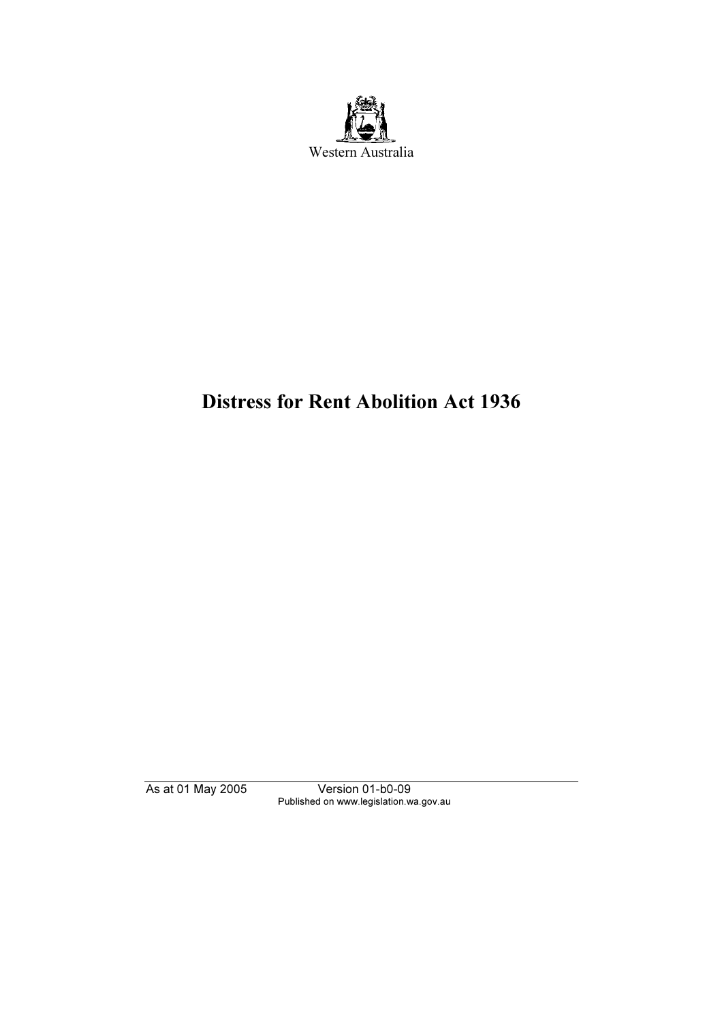

# Distress for Rent Abolition Act 1936

Published on www.legislation.wa.gov.au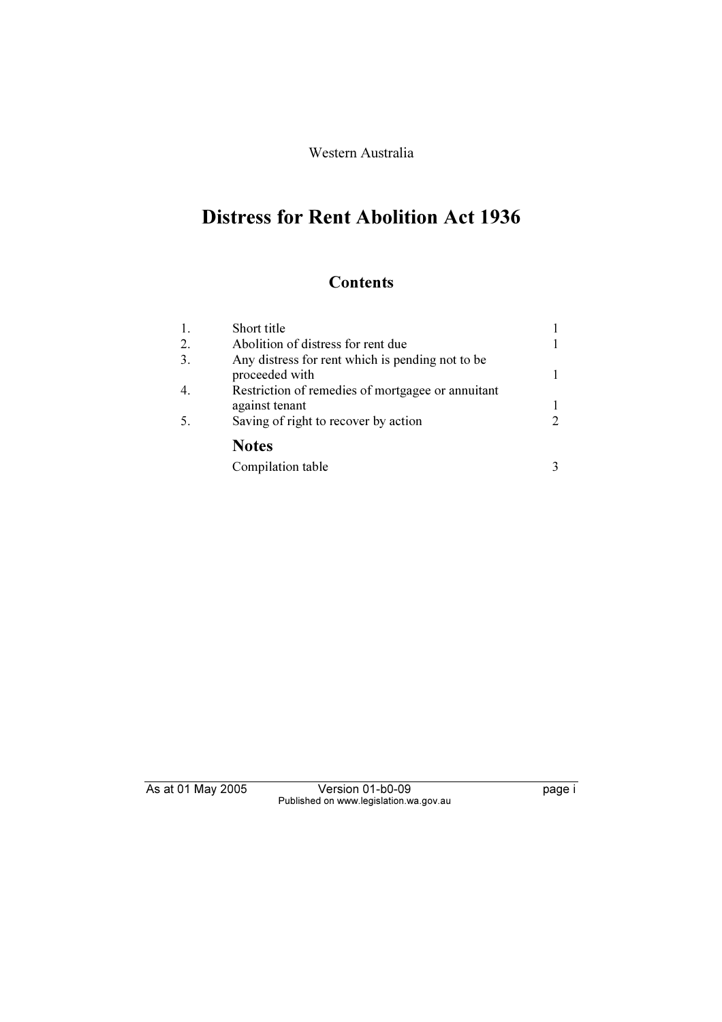#### Western Australia

# Distress for Rent Abolition Act 1936

### **Contents**

| 1. | Short title                                                        |                       |
|----|--------------------------------------------------------------------|-----------------------|
| 2. | Abolition of distress for rent due                                 |                       |
| 3. | Any distress for rent which is pending not to be<br>proceeded with |                       |
| 4. | Restriction of remedies of mortgagee or annuitant                  |                       |
|    | against tenant                                                     |                       |
| 5. | Saving of right to recover by action                               | $\mathcal{D}_{\cdot}$ |
|    | <b>Notes</b>                                                       |                       |
|    | Compilation table                                                  |                       |

Published on www.legislation.wa.gov.au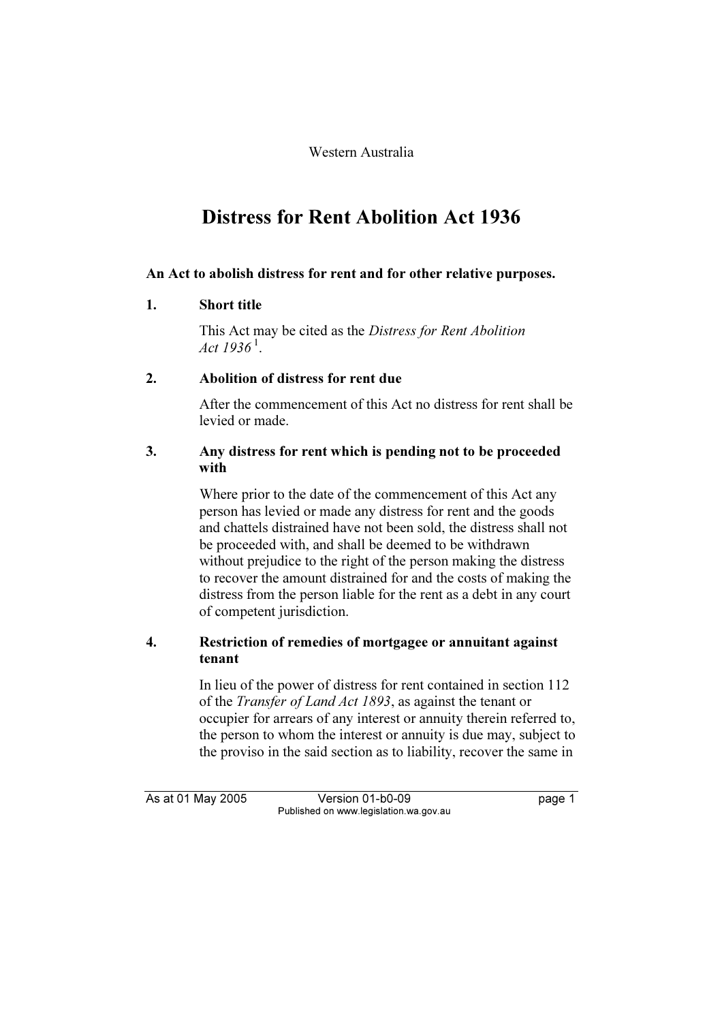Western Australia

## Distress for Rent Abolition Act 1936

#### An Act to abolish distress for rent and for other relative purposes.

#### 1. Short title

 This Act may be cited as the Distress for Rent Abolition Act  $1936^{\,1}$ .

#### 2. Abolition of distress for rent due

 After the commencement of this Act no distress for rent shall be levied or made.

#### 3. Any distress for rent which is pending not to be proceeded with

 Where prior to the date of the commencement of this Act any person has levied or made any distress for rent and the goods and chattels distrained have not been sold, the distress shall not be proceeded with, and shall be deemed to be withdrawn without prejudice to the right of the person making the distress to recover the amount distrained for and the costs of making the distress from the person liable for the rent as a debt in any court of competent jurisdiction.

#### 4. Restriction of remedies of mortgagee or annuitant against tenant

 In lieu of the power of distress for rent contained in section 112 of the Transfer of Land Act 1893, as against the tenant or occupier for arrears of any interest or annuity therein referred to, the person to whom the interest or annuity is due may, subject to the proviso in the said section as to liability, recover the same in

As at 01 May 2006 Version 01-000 page 1 page 1 page 1 page 1 Published on www.legislation.wa.gov.au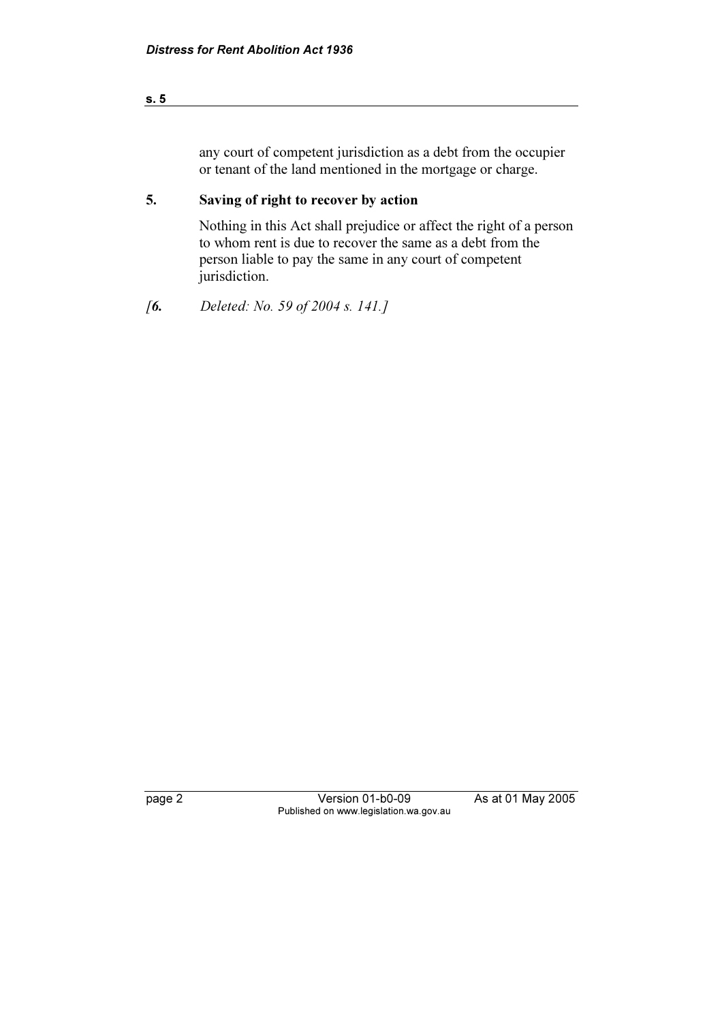| s. 5 |  |  |  |
|------|--|--|--|
|      |  |  |  |

any court of competent jurisdiction as a debt from the occupier or tenant of the land mentioned in the mortgage or charge.

### 5. Saving of right to recover by action

 Nothing in this Act shall prejudice or affect the right of a person to whom rent is due to recover the same as a debt from the person liable to pay the same in any court of competent jurisdiction.

[6. Deleted: No. 59 of 2004 s. 141.]

page 2 Version 01-box 2005 Published on www.legislation.wa.gov.au